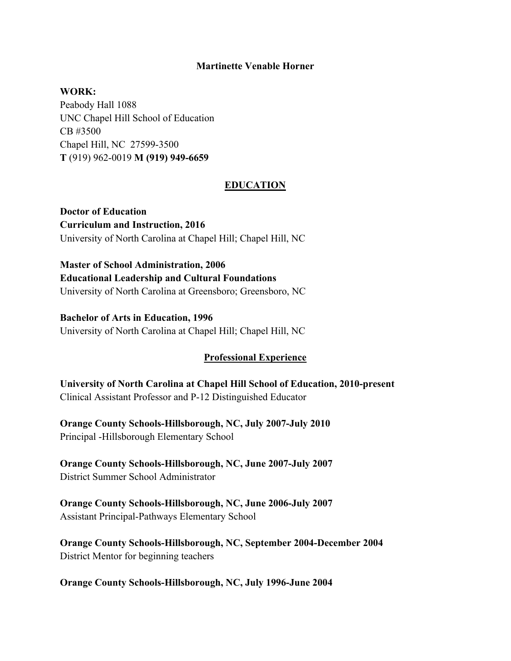## **Martinette Venable Horner**

**WORK:** 

Peabody Hall 1088 UNC Chapel Hill School of Education CB #3500 Chapel Hill, NC 27599-3500 **T** (919) 962-0019 **M (919) 949-6659** 

## **EDUCATION**

**Doctor of Education Curriculum and Instruction, 2016** University of North Carolina at Chapel Hill; Chapel Hill, NC

**Master of School Administration, 2006 Educational Leadership and Cultural Foundations**  University of North Carolina at Greensboro; Greensboro, NC

**Bachelor of Arts in Education, 1996** University of North Carolina at Chapel Hill; Chapel Hill, NC

#### **Professional Experience**

**University of North Carolina at Chapel Hill School of Education, 2010-present** Clinical Assistant Professor and P-12 Distinguished Educator

**Orange County Schools-Hillsborough, NC, July 2007-July 2010** Principal -Hillsborough Elementary School

**Orange County Schools-Hillsborough, NC, June 2007-July 2007** District Summer School Administrator

**Orange County Schools-Hillsborough, NC, June 2006-July 2007** Assistant Principal-Pathways Elementary School

**Orange County Schools-Hillsborough, NC, September 2004-December 2004** District Mentor for beginning teachers

**Orange County Schools-Hillsborough, NC, July 1996-June 2004**